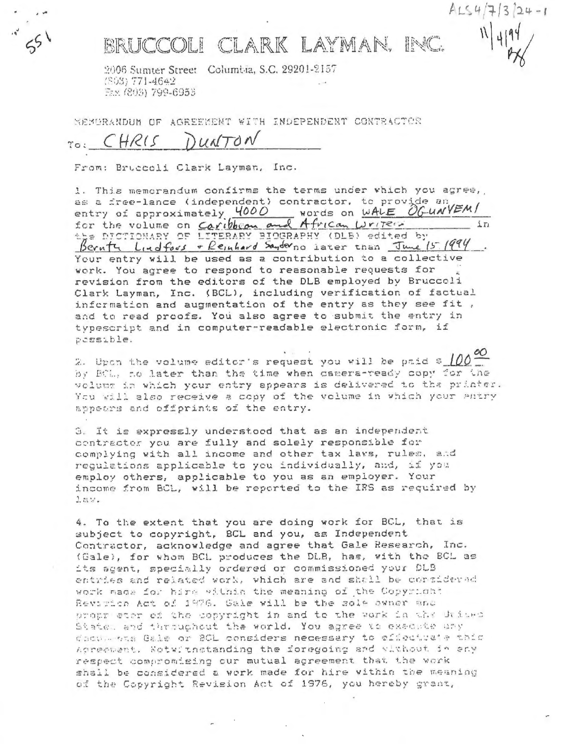

## BRUCCOLI CLARK LAYMAN. INC.

 $ALS4/713/24-1$ 

2006 Sumter Street Columbia, S.C. 29201-2157 (803) 771-4642 Fax (803) 799-6953

NEMURANDUM OF AGREEMENT WITH INDEPENDENT CONTRACTER

## WITON HRIS

From: Bruccoli Clark Layman, Inc.

1. This memorandum confirms the terms under which you agree, as a free-lance (independent) contractor, to provide an entry of approximately 4000 words on WALE OGUNVEM/<br>for the volume on Caribbon and African Writer  $\pm \pi$ the DICTIONARY OF LITERARY BIOGRAPHY (DLB) edited by Bernty Lindfous - Reinhard Sanderno later than June 15 1994 Your entry will be used as a contribution to a collective work. You agree to respond to reasonable requests for revision from the editors of the DLB employed by Bruccoli Clark Layman, Inc. (BCL), including verification of factual information and augmentation of the entry as they see fit, and to read proofs. You also agree to submit the entry in typescript and in computer-readable electronic form, if pessible.

2. Upon the volume editor's request you will be paid  $5\frac{100}{100}$ by BCL, no later than the time when camera-ready copy for the volume in which your entry appears is delivered to the printer. You will also receive a copy of the volume in which your antry appears and offprints of the entry.

3. It is expressly understood that as an independent contractor you are fully and solely responsible for complying with all income and other tax laws, rules, and regulations applicable to you individually, and, if you employ others, applicable to you as an employer. Your income from BCL, will be reported to the IRS as required by 1 a %.

4. To the extent that you are doing work for BCL, that is subject to copyright, BCL and you, as Independent Contractor, acknowledge and agree that Gale Research, Inc. (Gale), for whom BCL produces the DLB, has, with the BCL as its agent, specially ordered or commissioned your DLB entries and related work, which are and shall be corsidered work made for hire within the meaning of the Copyright Revition Act of 1976. Gale will be the sole owner and propr eter of the copyright in and to the work in the duites State, and throughout the world. You agree to execute uny decommens Gale or BOL considers necessary to effectuate this Agreement. Notwithstanding the foregoing and without in eny respect compromising our mutual agreement that the work shall be considered a work made for hire within the meaning of the Copyright Revision Act of 1976, you hereby grant,